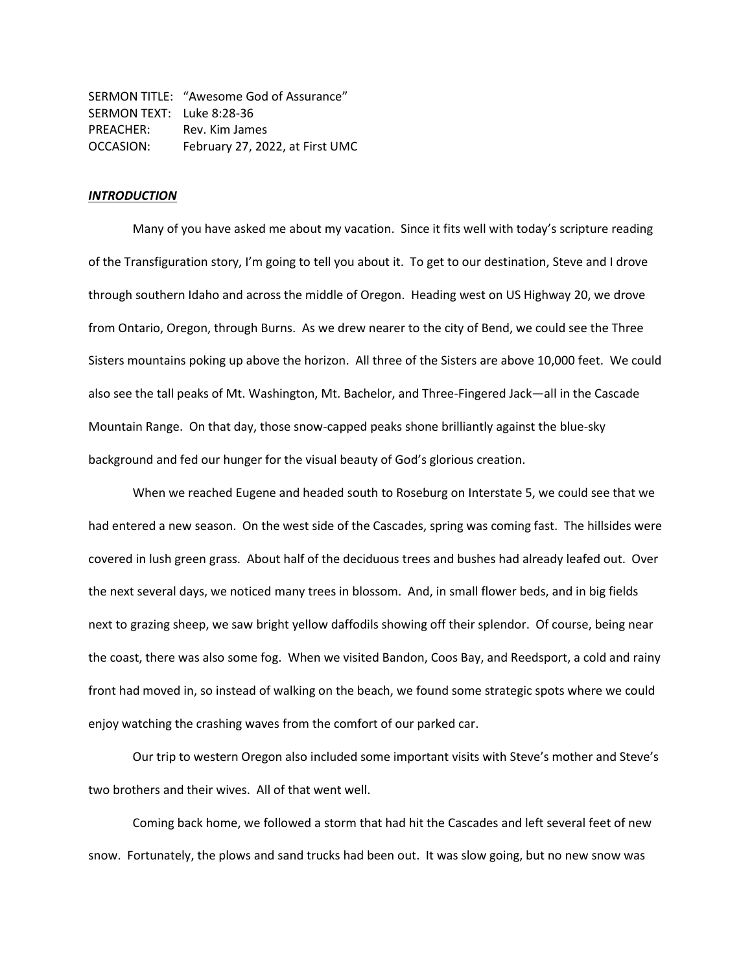SERMON TITLE: "Awesome God of Assurance" SERMON TEXT: Luke 8:28-36 PREACHER: Rev. Kim James OCCASION: February 27, 2022, at First UMC

# *INTRODUCTION*

Many of you have asked me about my vacation. Since it fits well with today's scripture reading of the Transfiguration story, I'm going to tell you about it. To get to our destination, Steve and I drove through southern Idaho and across the middle of Oregon. Heading west on US Highway 20, we drove from Ontario, Oregon, through Burns. As we drew nearer to the city of Bend, we could see the Three Sisters mountains poking up above the horizon. All three of the Sisters are above 10,000 feet. We could also see the tall peaks of Mt. Washington, Mt. Bachelor, and Three-Fingered Jack—all in the Cascade Mountain Range. On that day, those snow-capped peaks shone brilliantly against the blue-sky background and fed our hunger for the visual beauty of God's glorious creation.

When we reached Eugene and headed south to Roseburg on Interstate 5, we could see that we had entered a new season. On the west side of the Cascades, spring was coming fast. The hillsides were covered in lush green grass. About half of the deciduous trees and bushes had already leafed out. Over the next several days, we noticed many trees in blossom. And, in small flower beds, and in big fields next to grazing sheep, we saw bright yellow daffodils showing off their splendor. Of course, being near the coast, there was also some fog. When we visited Bandon, Coos Bay, and Reedsport, a cold and rainy front had moved in, so instead of walking on the beach, we found some strategic spots where we could enjoy watching the crashing waves from the comfort of our parked car.

Our trip to western Oregon also included some important visits with Steve's mother and Steve's two brothers and their wives. All of that went well.

Coming back home, we followed a storm that had hit the Cascades and left several feet of new snow. Fortunately, the plows and sand trucks had been out. It was slow going, but no new snow was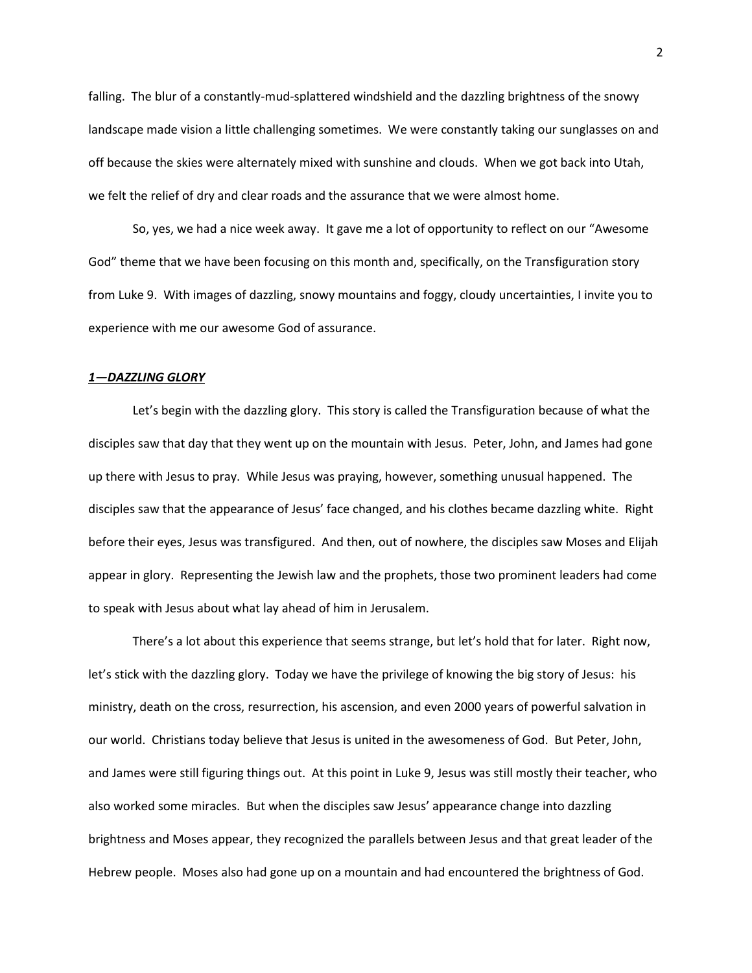falling. The blur of a constantly-mud-splattered windshield and the dazzling brightness of the snowy landscape made vision a little challenging sometimes. We were constantly taking our sunglasses on and off because the skies were alternately mixed with sunshine and clouds. When we got back into Utah, we felt the relief of dry and clear roads and the assurance that we were almost home.

So, yes, we had a nice week away. It gave me a lot of opportunity to reflect on our "Awesome God" theme that we have been focusing on this month and, specifically, on the Transfiguration story from Luke 9. With images of dazzling, snowy mountains and foggy, cloudy uncertainties, I invite you to experience with me our awesome God of assurance.

## *1—DAZZLING GLORY*

Let's begin with the dazzling glory. This story is called the Transfiguration because of what the disciples saw that day that they went up on the mountain with Jesus. Peter, John, and James had gone up there with Jesus to pray. While Jesus was praying, however, something unusual happened. The disciples saw that the appearance of Jesus' face changed, and his clothes became dazzling white. Right before their eyes, Jesus was transfigured. And then, out of nowhere, the disciples saw Moses and Elijah appear in glory. Representing the Jewish law and the prophets, those two prominent leaders had come to speak with Jesus about what lay ahead of him in Jerusalem.

There's a lot about this experience that seems strange, but let's hold that for later. Right now, let's stick with the dazzling glory. Today we have the privilege of knowing the big story of Jesus: his ministry, death on the cross, resurrection, his ascension, and even 2000 years of powerful salvation in our world. Christians today believe that Jesus is united in the awesomeness of God. But Peter, John, and James were still figuring things out. At this point in Luke 9, Jesus was still mostly their teacher, who also worked some miracles. But when the disciples saw Jesus' appearance change into dazzling brightness and Moses appear, they recognized the parallels between Jesus and that great leader of the Hebrew people. Moses also had gone up on a mountain and had encountered the brightness of God.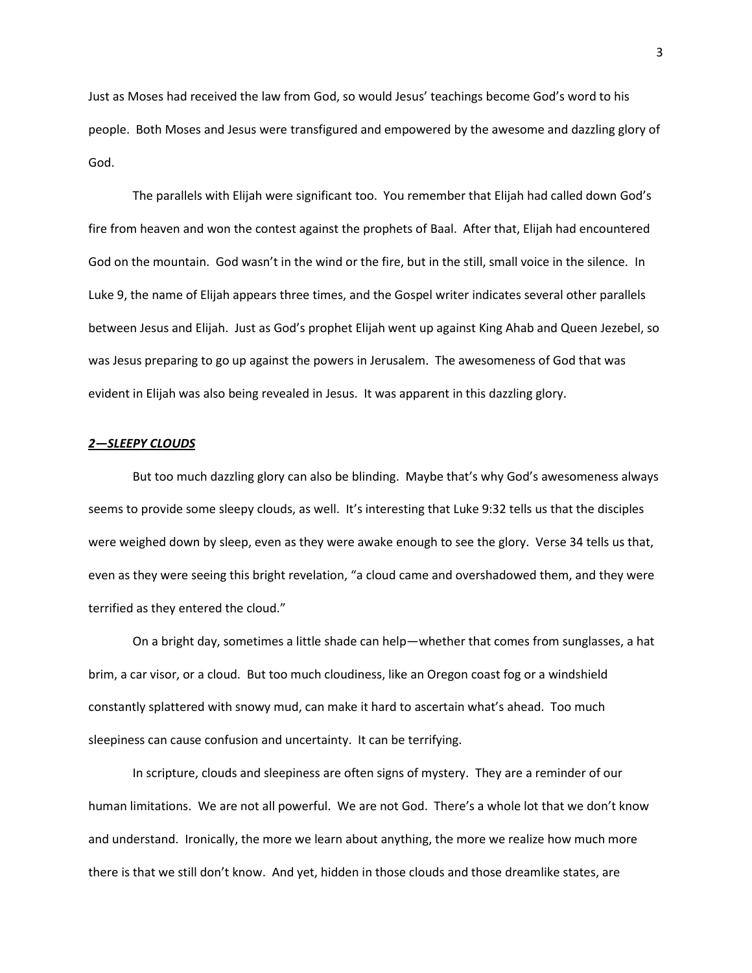Just as Moses had received the law from God, so would Jesus' teachings become God's word to his people. Both Moses and Jesus were transfigured and empowered by the awesome and dazzling glory of God.

The parallels with Elijah were significant too. You remember that Elijah had called down God's fire from heaven and won the contest against the prophets of Baal. After that, Elijah had encountered God on the mountain. God wasn't in the wind or the fire, but in the still, small voice in the silence. In Luke 9, the name of Elijah appears three times, and the Gospel writer indicates several other parallels between Jesus and Elijah. Just as God's prophet Elijah went up against King Ahab and Queen Jezebel, so was Jesus preparing to go up against the powers in Jerusalem. The awesomeness of God that was evident in Elijah was also being revealed in Jesus. It was apparent in this dazzling glory.

## *2—SLEEPY CLOUDS*

But too much dazzling glory can also be blinding. Maybe that's why God's awesomeness always seems to provide some sleepy clouds, as well. It's interesting that Luke 9:32 tells us that the disciples were weighed down by sleep, even as they were awake enough to see the glory. Verse 34 tells us that, even as they were seeing this bright revelation, "a cloud came and overshadowed them, and they were terrified as they entered the cloud."

On a bright day, sometimes a little shade can help—whether that comes from sunglasses, a hat brim, a car visor, or a cloud. But too much cloudiness, like an Oregon coast fog or a windshield constantly splattered with snowy mud, can make it hard to ascertain what's ahead. Too much sleepiness can cause confusion and uncertainty. It can be terrifying.

In scripture, clouds and sleepiness are often signs of mystery. They are a reminder of our human limitations. We are not all powerful. We are not God. There's a whole lot that we don't know and understand. Ironically, the more we learn about anything, the more we realize how much more there is that we still don't know. And yet, hidden in those clouds and those dreamlike states, are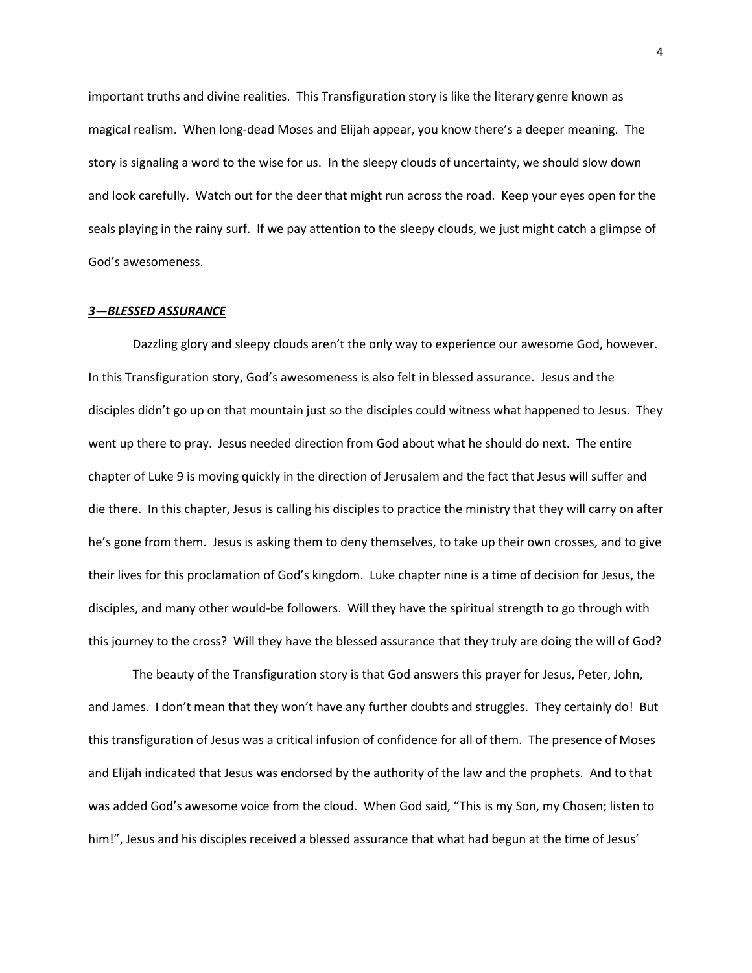important truths and divine realities. This Transfiguration story is like the literary genre known as magical realism. When long-dead Moses and Elijah appear, you know there's a deeper meaning. The story is signaling a word to the wise for us. In the sleepy clouds of uncertainty, we should slow down and look carefully. Watch out for the deer that might run across the road. Keep your eyes open for the seals playing in the rainy surf. If we pay attention to the sleepy clouds, we just might catch a glimpse of God's awesomeness.

# *3—BLESSED ASSURANCE*

Dazzling glory and sleepy clouds aren't the only way to experience our awesome God, however. In this Transfiguration story, God's awesomeness is also felt in blessed assurance. Jesus and the disciples didn't go up on that mountain just so the disciples could witness what happened to Jesus. They went up there to pray. Jesus needed direction from God about what he should do next. The entire chapter of Luke 9 is moving quickly in the direction of Jerusalem and the fact that Jesus will suffer and die there. In this chapter, Jesus is calling his disciples to practice the ministry that they will carry on after he's gone from them. Jesus is asking them to deny themselves, to take up their own crosses, and to give their lives for this proclamation of God's kingdom. Luke chapter nine is a time of decision for Jesus, the disciples, and many other would-be followers. Will they have the spiritual strength to go through with this journey to the cross? Will they have the blessed assurance that they truly are doing the will of God?

The beauty of the Transfiguration story is that God answers this prayer for Jesus, Peter, John, and James. I don't mean that they won't have any further doubts and struggles. They certainly do! But this transfiguration of Jesus was a critical infusion of confidence for all of them. The presence of Moses and Elijah indicated that Jesus was endorsed by the authority of the law and the prophets. And to that was added God's awesome voice from the cloud. When God said, "This is my Son, my Chosen; listen to him!", Jesus and his disciples received a blessed assurance that what had begun at the time of Jesus'